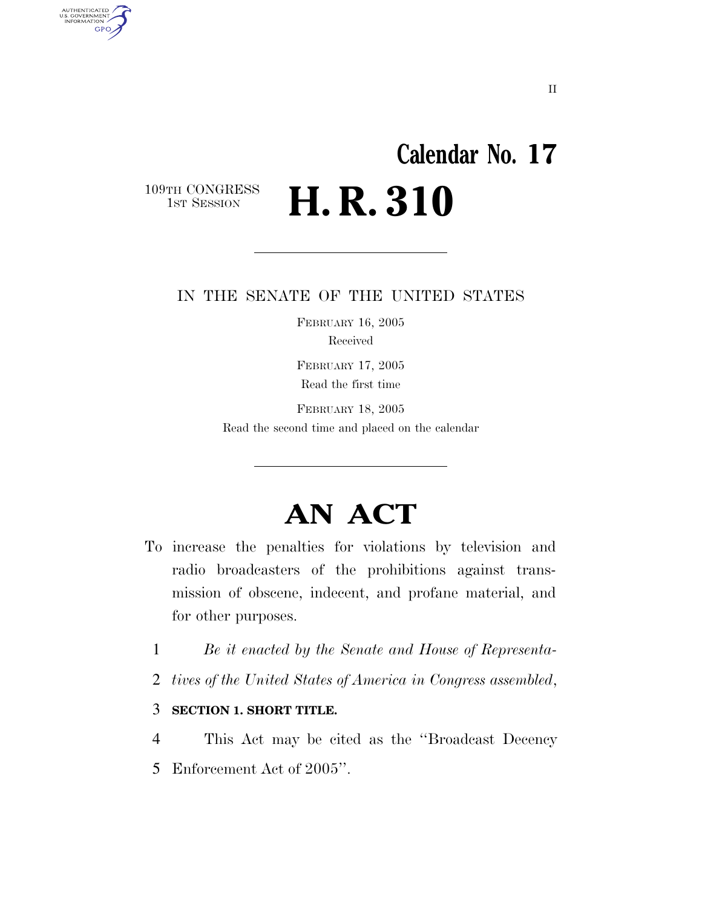# **Calendar No. 17** 109TH CONGRESS<br>1st Session H. R. 310

AUTHENTICATED<br>U.S. GOVERNMENT<br>INFORMATION GPO

#### IN THE SENATE OF THE UNITED STATES

FEBRUARY 16, 2005 Received

FEBRUARY 17, 2005 Read the first time

FEBRUARY 18, 2005 Read the second time and placed on the calendar

# **AN ACT**

- To increase the penalties for violations by television and radio broadcasters of the prohibitions against transmission of obscene, indecent, and profane material, and for other purposes.
	- 1 *Be it enacted by the Senate and House of Representa-*
	- 2 *tives of the United States of America in Congress assembled*,
	- 3 **SECTION 1. SHORT TITLE.**
	- 4 This Act may be cited as the ''Broadcast Decency 5 Enforcement Act of 2005''.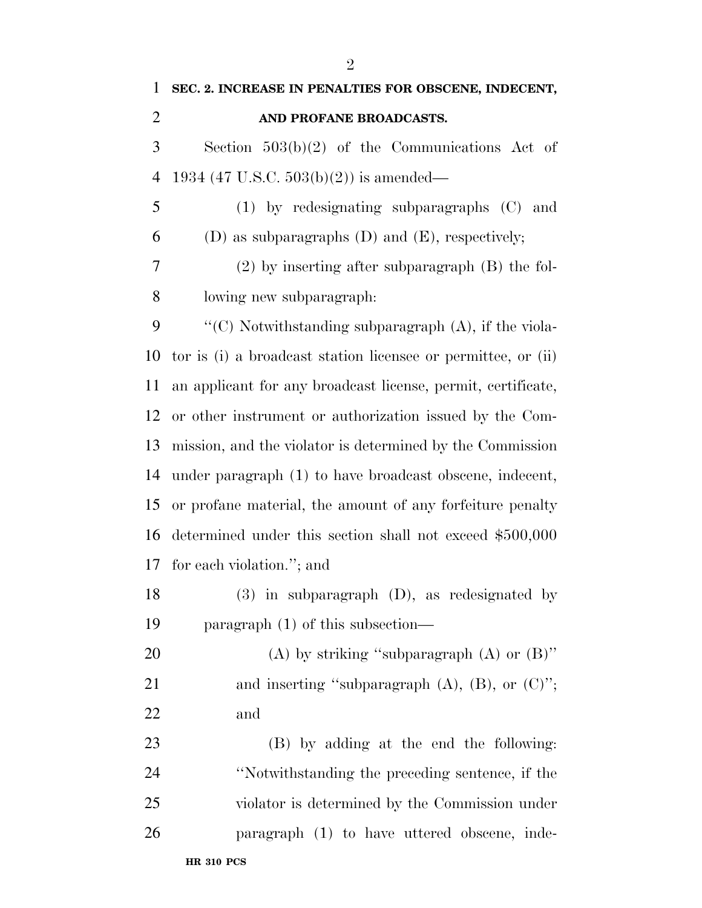| $\mathbf{1}$   | SEC. 2. INCREASE IN PENALTIES FOR OBSCENE, INDECENT,          |
|----------------|---------------------------------------------------------------|
| $\overline{2}$ | AND PROFANE BROADCASTS.                                       |
| 3              | Section $503(b)(2)$ of the Communications Act of              |
| $\overline{4}$ | 1934 (47 U.S.C. $503(b)(2)$ ) is amended—                     |
| 5              | $(1)$ by redesignating subparagraphs $(C)$ and                |
| 6              | (D) as subparagraphs $(D)$ and $(E)$ , respectively;          |
| 7              | $(2)$ by inserting after subparagraph $(B)$ the fol-          |
| 8              | lowing new subparagraph:                                      |
| 9              | "(C) Notwithstanding subparagraph (A), if the viola-          |
| 10             | tor is (i) a broadcast station licensee or permittee, or (ii) |
| 11             | an applicant for any broadcast license, permit, certificate,  |
| 12             | or other instrument or authorization issued by the Com-       |
| 13             | mission, and the violator is determined by the Commission     |
| 14             | under paragraph (1) to have broadcast obscene, indecent,      |
| 15             | or profane material, the amount of any forfeiture penalty     |
| 16             | determined under this section shall not exceed \$500,000      |
| 17             | for each violation."; and                                     |
| 18             | $(3)$ in subparagraph $(D)$ , as redesignated by              |
| 19             | paragraph $(1)$ of this subsection—                           |
| 20             | (A) by striking "subparagraph (A) or $(B)$ "                  |
| 21             | and inserting "subparagraph $(A)$ , $(B)$ , or $(C)$ ";       |
| 22             | and                                                           |
| 23             | (B) by adding at the end the following:                       |
| 24             | "Notwithstanding the preceding sentence, if the               |
| 25             | violator is determined by the Commission under                |
| 26             | paragraph (1) to have uttered obscene, inde-                  |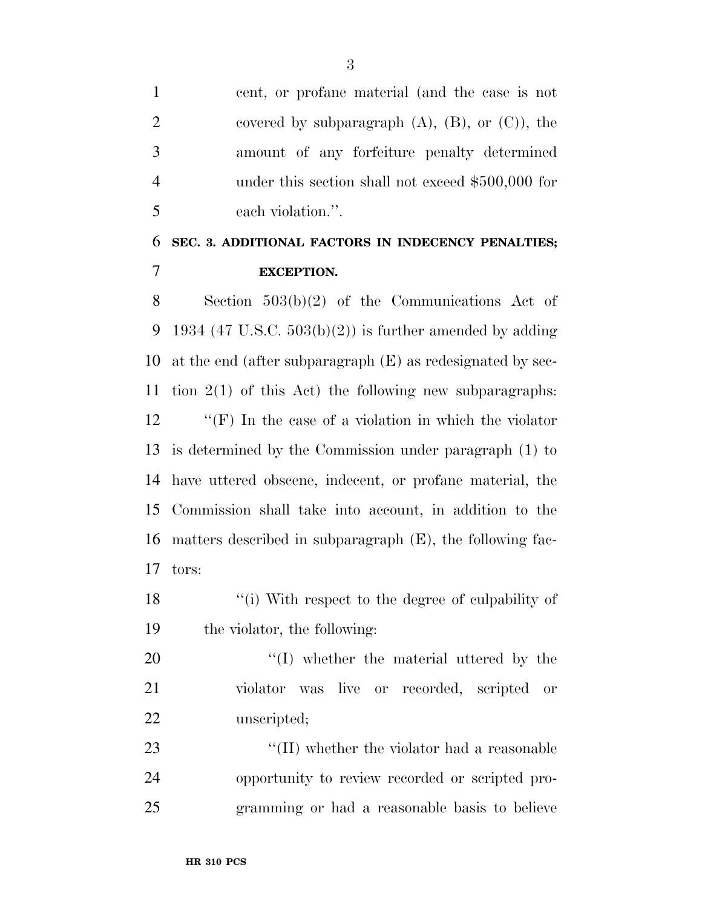cent, or profane material (and the case is not 2 covered by subparagraph  $(A)$ ,  $(B)$ , or  $(C)$ , the amount of any forfeiture penalty determined under this section shall not exceed \$500,000 for each violation.''.

## **SEC. 3. ADDITIONAL FACTORS IN INDECENCY PENALTIES; EXCEPTION.**

 Section 503(b)(2) of the Communications Act of 9 1934 (47 U.S.C.  $503(b)(2)$ ) is further amended by adding at the end (after subparagraph (E) as redesignated by sec- tion 2(1) of this Act) the following new subparagraphs: ''(F) In the case of a violation in which the violator is determined by the Commission under paragraph (1) to have uttered obscene, indecent, or profane material, the Commission shall take into account, in addition to the matters described in subparagraph (E), the following fac-tors:

18 ''(i) With respect to the degree of culpability of the violator, the following:

20  $\frac{1}{2}$  (I) whether the material uttered by the violator was live or recorded, scripted or unscripted;

23  $\cdot$  (II) whether the violator had a reasonable opportunity to review recorded or scripted pro-gramming or had a reasonable basis to believe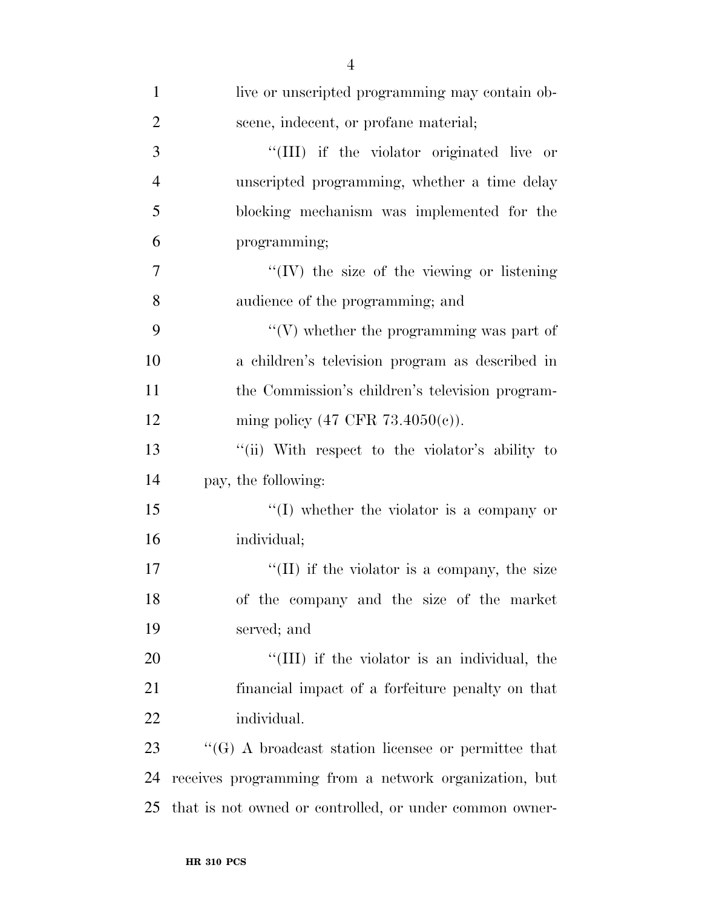| $\mathbf{1}$   | live or unscripted programming may contain ob-             |
|----------------|------------------------------------------------------------|
| $\overline{2}$ | scene, indecent, or profane material;                      |
| 3              | "(III) if the violator originated live or                  |
| $\overline{4}$ | unscripted programming, whether a time delay               |
| 5              | blocking mechanism was implemented for the                 |
| 6              | programming;                                               |
| $\tau$         | $\lq\lq$ (IV) the size of the viewing or listening         |
| 8              | audience of the programming; and                           |
| 9              | $\lq\lq(V)$ whether the programming was part of            |
| 10             | a children's television program as described in            |
| 11             | the Commission's children's television program-            |
| 12             | ming policy (47 CFR $73.4050(c)$ ).                        |
| 13             | "(ii) With respect to the violator's ability to            |
| 14             | pay, the following:                                        |
| 15             | $\lq\lq$ whether the violator is a company or              |
| 16             | individual;                                                |
| 17             | $\lq\lq$ (II) if the violator is a company, the size       |
| 18             | of the company and the size of the market                  |
| 19             | served; and                                                |
| 20             | "(III) if the violator is an individual, the               |
| 21             | financial impact of a forfeiture penalty on that           |
| 22             | individual.                                                |
| 23             | $\lq\lq(G)$ A broadcast station licensee or permittee that |
| 24             | receives programming from a network organization, but      |
| 25             | that is not owned or controlled, or under common owner-    |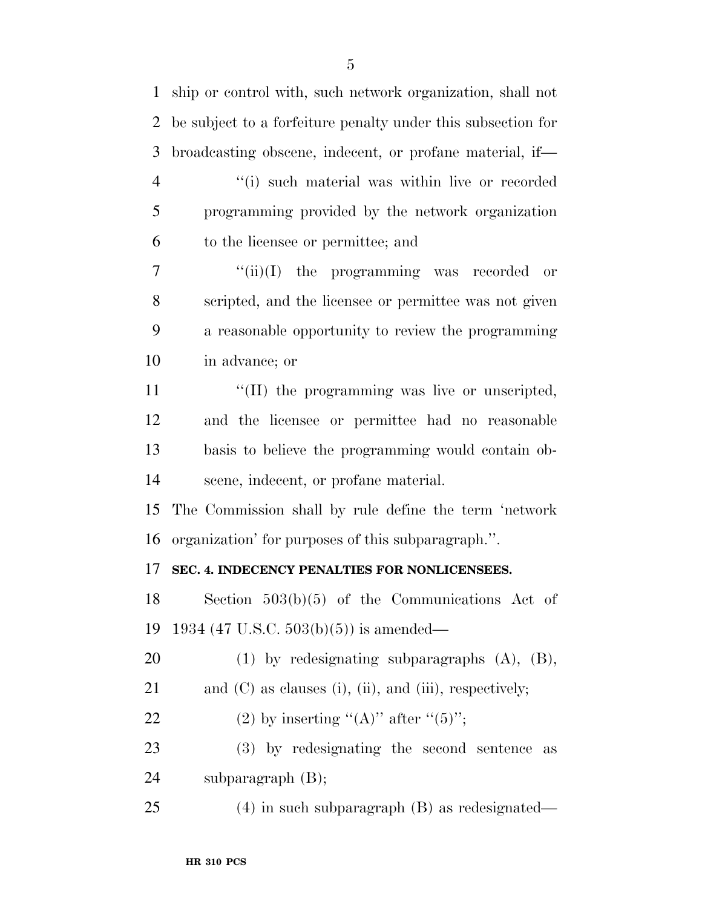| $\mathbf{1}$   | ship or control with, such network organization, shall not        |
|----------------|-------------------------------------------------------------------|
| 2              | be subject to a forfeiture penalty under this subsection for      |
| 3              | broadcasting obscene, indecent, or profane material, if—          |
| $\overline{4}$ | "(i) such material was within live or recorded                    |
| 5              | programming provided by the network organization                  |
| 6              | to the licensee or permittee; and                                 |
| 7              | $``(ii)(I)$ the programming was recorded or                       |
| 8              | scripted, and the licensee or permittee was not given             |
| 9              | a reasonable opportunity to review the programming                |
| 10             | in advance; or                                                    |
| 11             | "(II) the programming was live or unscripted,                     |
| 12             | and the licensee or permittee had no reasonable                   |
| 13             | basis to believe the programming would contain ob-                |
| 14             | scene, indecent, or profane material.                             |
| 15             | The Commission shall by rule define the term 'network             |
| 16             | organization' for purposes of this subparagraph.".                |
| 17             | SEC. 4. INDECENCY PENALTIES FOR NONLICENSEES.                     |
| 18             | Section $503(b)(5)$ of the Communications Act of                  |
| 19             | 1934 (47 U.S.C. 503(b)(5)) is amended—                            |
| 20             | $(1)$ by redesignating subparagraphs $(A)$ , $(B)$ ,              |
| 21             | and $(C)$ as clauses $(i)$ , $(ii)$ , and $(iii)$ , respectively; |
| 22             | (2) by inserting "(A)" after " $(5)$ ";                           |
| 23             | (3) by redesignating the second sentence<br>as                    |
| 24             | subparagraph $(B)$ ;                                              |
| 25             | $(4)$ in such subparagraph $(B)$ as redesignated—                 |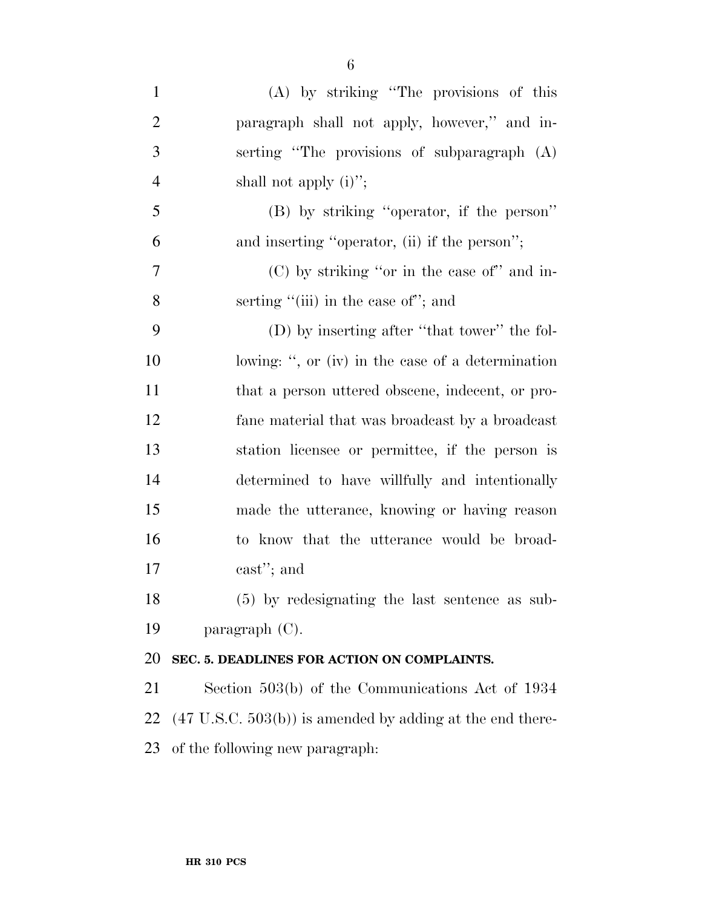| $\mathbf{1}$   | $(A)$ by striking "The provisions of this                            |
|----------------|----------------------------------------------------------------------|
| $\overline{2}$ | paragraph shall not apply, however," and in-                         |
| 3              | serting "The provisions of subparagraph (A)                          |
| $\overline{4}$ | shall not apply $(i)$ ";                                             |
| 5              | (B) by striking "operator, if the person"                            |
| 6              | and inserting "operator, (ii) if the person";                        |
| $\overline{7}$ | $(C)$ by striking "or in the case of" and in-                        |
| 8              | serting "(iii) in the case of"; and                                  |
| 9              | (D) by inserting after "that tower" the fol-                         |
| 10             | lowing: ", or (iv) in the case of a determination                    |
| 11             | that a person uttered obscene, indecent, or pro-                     |
| 12             | fane material that was broadcast by a broadcast                      |
| 13             | station licensee or permittee, if the person is                      |
| 14             | determined to have willfully and intentionally                       |
| 15             | made the utterance, knowing or having reason                         |
| 16             | to know that the utterance would be broad-                           |
| 17             | cast"; and                                                           |
| 18             | (5) by redesignating the last sentence as sub-                       |
| 19             | paragraph $(C)$ .                                                    |
| 20             | SEC. 5. DEADLINES FOR ACTION ON COMPLAINTS.                          |
| 21             | Section 503(b) of the Communications Act of 1934                     |
| 22             | $(47 \text{ U.S.C. } 503(b))$ is amended by adding at the end there- |
| 23             | of the following new paragraph:                                      |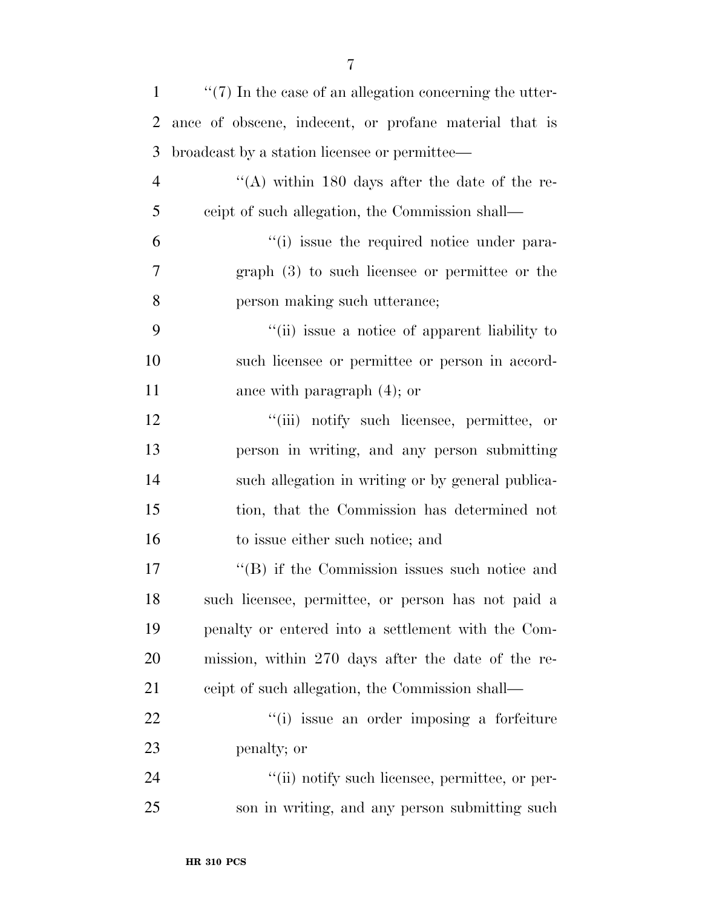| $\mathbf{1}$   | $\lq(7)$ In the case of an allegation concerning the utter- |
|----------------|-------------------------------------------------------------|
| $\overline{2}$ | ance of obscene, indecent, or profane material that is      |
| 3              | broadcast by a station licensee or permittee—               |
| $\overline{4}$ | "(A) within 180 days after the date of the re-              |
| 5              | ceipt of such allegation, the Commission shall—             |
| 6              | "(i) issue the required notice under para-                  |
| 7              | $graph(3)$ to such licensee or permittee or the             |
| 8              | person making such utterance;                               |
| 9              | "(ii) issue a notice of apparent liability to               |
| 10             | such licensee or permittee or person in accord-             |
| 11             | ance with paragraph $(4)$ ; or                              |
| 12             | "(iii) notify such licensee, permittee, or                  |
| 13             | person in writing, and any person submitting                |
| 14             | such allegation in writing or by general publica-           |
| 15             | tion, that the Commission has determined not                |
| 16             | to issue either such notice; and                            |
| 17             | $\cdot$ (B) if the Commission issues such notice and        |
| 18             | such licensee, permittee, or person has not paid a          |
| 19             | penalty or entered into a settlement with the Com-          |
| 20             | mission, within 270 days after the date of the re-          |
| 21             | ceipt of such allegation, the Commission shall—             |
| 22             | "(i) issue an order imposing a forfeiture                   |
| 23             | penalty; or                                                 |
| 24             | "(ii) notify such licensee, permittee, or per-              |
| 25             | son in writing, and any person submitting such              |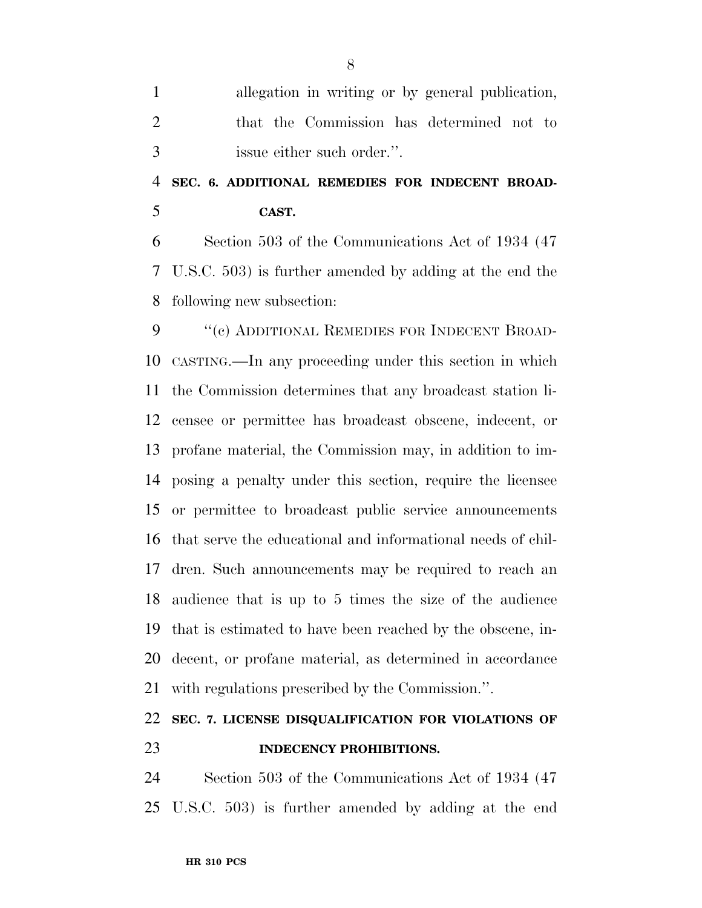|               | allegation in writing or by general publication, |
|---------------|--------------------------------------------------|
| $\mathcal{D}$ | that the Commission has determined not to        |
| $\mathcal{R}$ | issue either such order.".                       |

## **SEC. 6. ADDITIONAL REMEDIES FOR INDECENT BROAD-CAST.**

 Section 503 of the Communications Act of 1934 (47 U.S.C. 503) is further amended by adding at the end the following new subsection:

 ''(c) ADDITIONAL REMEDIES FOR INDECENT BROAD- CASTING.—In any proceeding under this section in which the Commission determines that any broadcast station li- censee or permittee has broadcast obscene, indecent, or profane material, the Commission may, in addition to im- posing a penalty under this section, require the licensee or permittee to broadcast public service announcements that serve the educational and informational needs of chil- dren. Such announcements may be required to reach an audience that is up to 5 times the size of the audience that is estimated to have been reached by the obscene, in- decent, or profane material, as determined in accordance with regulations prescribed by the Commission.''.

#### **SEC. 7. LICENSE DISQUALIFICATION FOR VIOLATIONS OF INDECENCY PROHIBITIONS.**

 Section 503 of the Communications Act of 1934 (47 U.S.C. 503) is further amended by adding at the end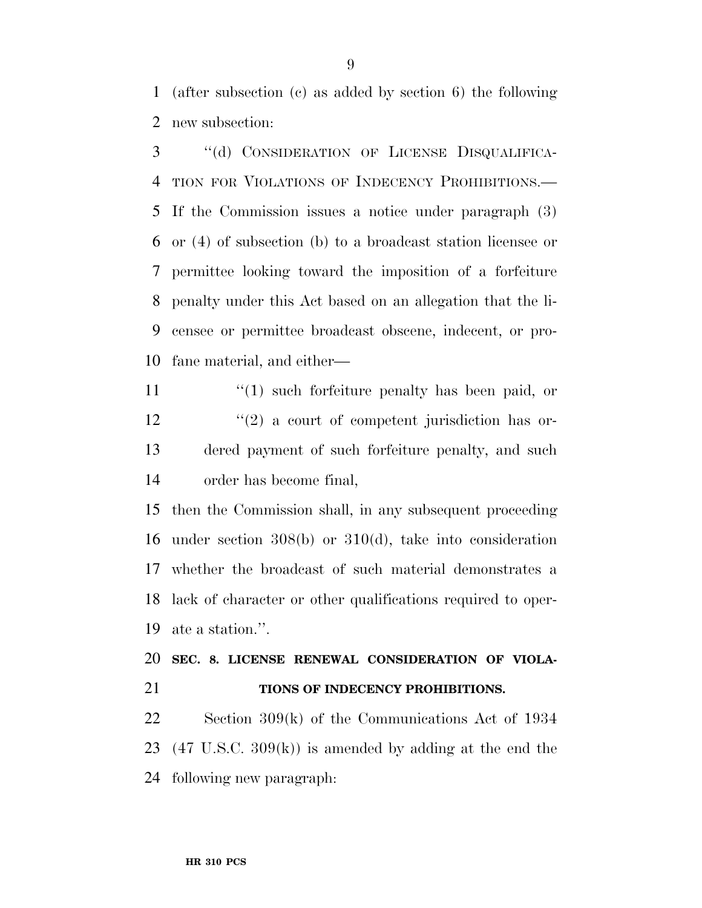(after subsection (c) as added by section 6) the following new subsection:

 ''(d) CONSIDERATION OF LICENSE DISQUALIFICA- TION FOR VIOLATIONS OF INDECENCY PROHIBITIONS.— If the Commission issues a notice under paragraph (3) or (4) of subsection (b) to a broadcast station licensee or permittee looking toward the imposition of a forfeiture penalty under this Act based on an allegation that the li- censee or permittee broadcast obscene, indecent, or pro-fane material, and either—

11 ''(1) such forfeiture penalty has been paid, or  $\frac{12}{2}$  ''(2) a court of competent jurisdiction has or- dered payment of such forfeiture penalty, and such order has become final,

 then the Commission shall, in any subsequent proceeding under section 308(b) or 310(d), take into consideration whether the broadcast of such material demonstrates a lack of character or other qualifications required to oper-ate a station.''.

#### **SEC. 8. LICENSE RENEWAL CONSIDERATION OF VIOLA-TIONS OF INDECENCY PROHIBITIONS.**

 Section 309(k) of the Communications Act of 1934 (47 U.S.C. 309(k)) is amended by adding at the end the following new paragraph: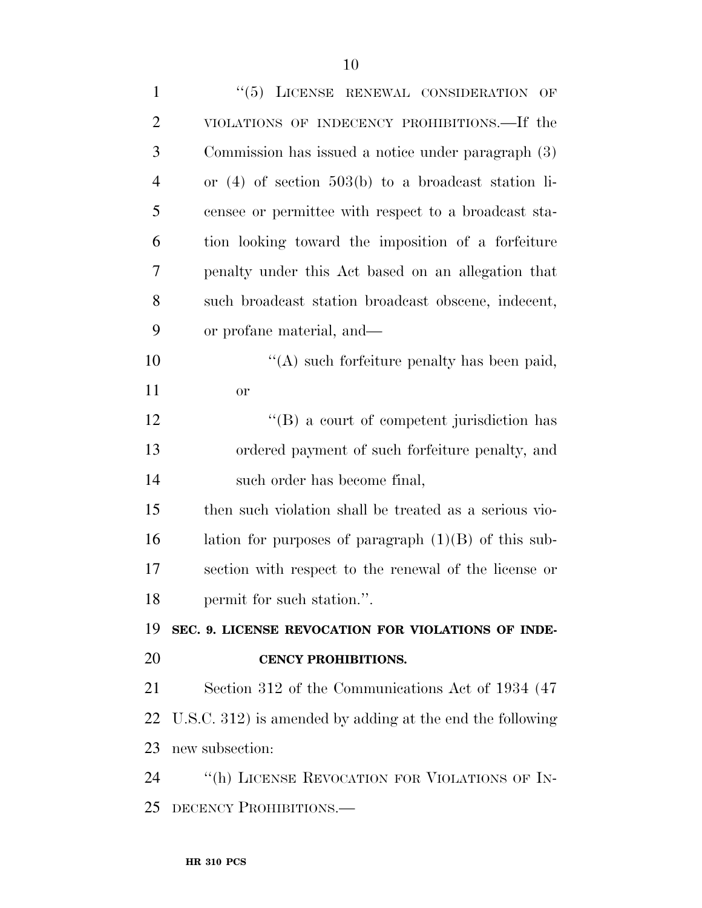| $\mathbf{1}$   | "(5) LICENSE RENEWAL CONSIDERATION OF                     |
|----------------|-----------------------------------------------------------|
| $\overline{2}$ | VIOLATIONS OF INDECENCY PROHIBITIONS.—If the              |
| 3              | Commission has issued a notice under paragraph (3)        |
| $\overline{4}$ | or $(4)$ of section 503(b) to a broadcast station li-     |
| 5              | censee or permittee with respect to a broadcast sta-      |
| 6              | tion looking toward the imposition of a forfeiture        |
| 7              | penalty under this Act based on an allegation that        |
| 8              | such broadcast station broadcast obscene, indecent,       |
| 9              | or profane material, and—                                 |
| 10             | "(A) such forfeiture penalty has been paid,               |
| 11             | <b>or</b>                                                 |
| 12             | $\lq\lq (B)$ a court of competent jurisdiction has        |
| 13             | ordered payment of such forfeiture penalty, and           |
| 14             | such order has become final,                              |
| 15             | then such violation shall be treated as a serious vio-    |
| 16             | lation for purposes of paragraph $(1)(B)$ of this sub-    |
| 17             | section with respect to the renewal of the license or     |
| 18             | permit for such station.".                                |
| 19             | SEC. 9. LICENSE REVOCATION FOR VIOLATIONS OF INDE-        |
| 20             | <b>CENCY PROHIBITIONS.</b>                                |
| 21             | Section 312 of the Communications Act of 1934 (47         |
| 22             | U.S.C. 312) is amended by adding at the end the following |
| 23             | new subsection:                                           |
| 24             | "(h) LICENSE REVOCATION FOR VIOLATIONS OF IN-             |
| 25             | DECENCY PROHIBITIONS.                                     |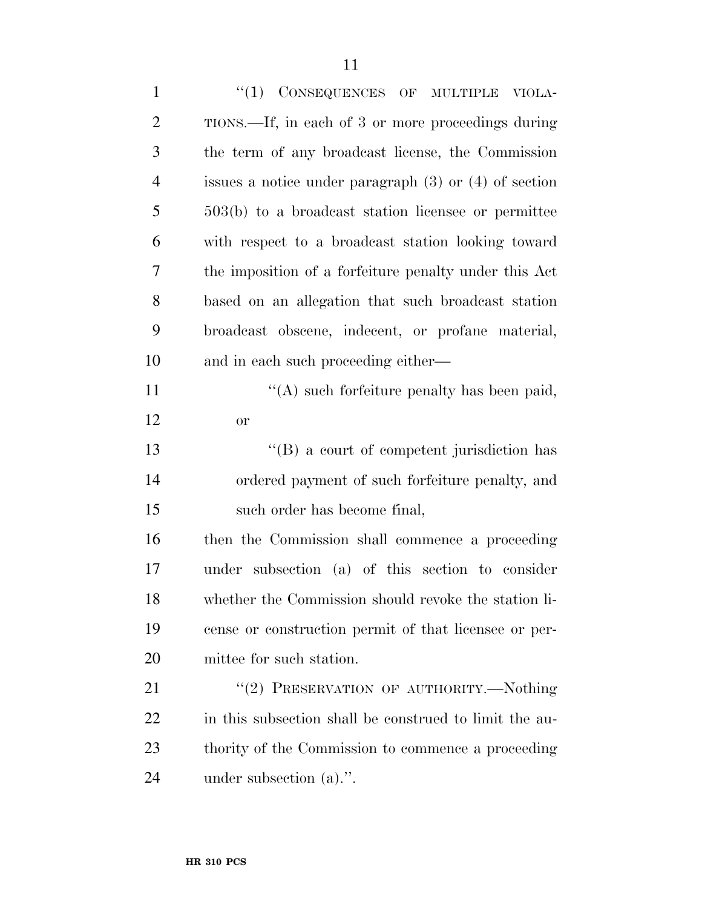| $\mathbf{1}$   | $(1)$ CONSEQUENCES OF MULTIPLE<br>VIOLA-                  |
|----------------|-----------------------------------------------------------|
| $\overline{2}$ | TIONS.—If, in each of 3 or more proceedings during        |
| 3              | the term of any broadcast license, the Commission         |
| $\overline{4}$ | issues a notice under paragraph $(3)$ or $(4)$ of section |
| 5              | $503(b)$ to a broadcast station licensee or permittee     |
| 6              | with respect to a broadcast station looking toward        |
| 7              | the imposition of a forfeiture penalty under this Act     |
| 8              | based on an allegation that such broadcast station        |
| 9              | broadcast obscene, indecent, or profane material,         |
| 10             | and in each such proceeding either—                       |
| 11             | "(A) such forfeiture penalty has been paid,               |
| 12             | <b>or</b>                                                 |
| 13             | $\lq\lq (B)$ a court of competent jurisdiction has        |
| 14             | ordered payment of such forfeiture penalty, and           |
| 15             | such order has become final,                              |
| 16             | then the Commission shall commence a proceeding           |
| 17             | under subsection (a) of this section to consider          |
| 18             | whether the Commission should revoke the station li-      |
| 19             | cense or construction permit of that licensee or per-     |
| 20             | mittee for such station.                                  |
| 21             | "(2) PRESERVATION OF AUTHORITY.—Nothing                   |
| 22             | in this subsection shall be construed to limit the au-    |
| 23             | thority of the Commission to commence a proceeding        |
| 24             | under subsection $(a)$ .".                                |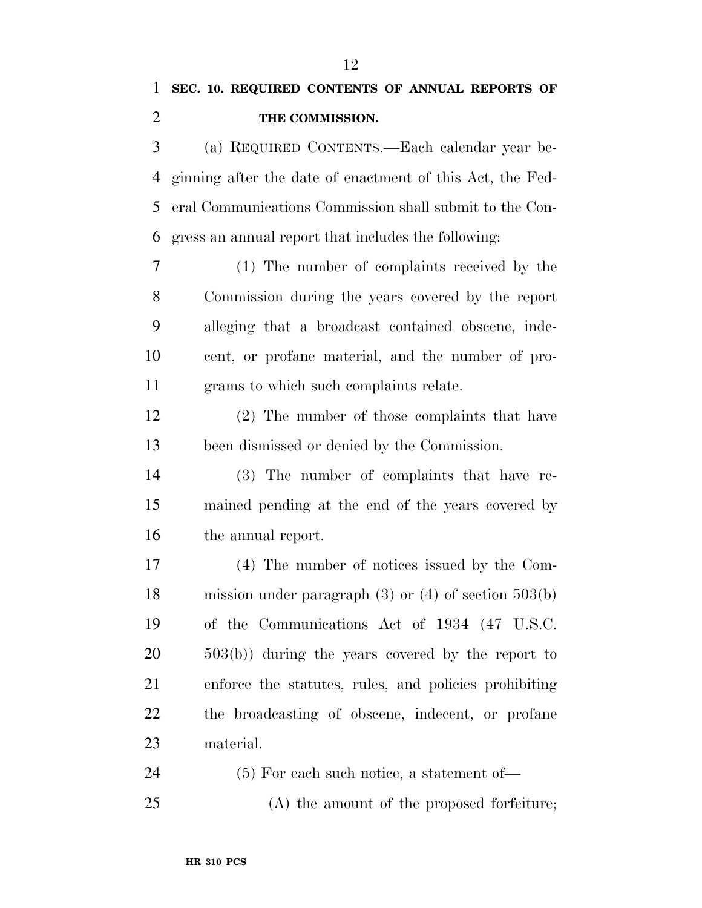## **SEC. 10. REQUIRED CONTENTS OF ANNUAL REPORTS OF THE COMMISSION.**

 (a) REQUIRED CONTENTS.—Each calendar year be- ginning after the date of enactment of this Act, the Fed- eral Communications Commission shall submit to the Con-gress an annual report that includes the following:

 (1) The number of complaints received by the Commission during the years covered by the report alleging that a broadcast contained obscene, inde- cent, or profane material, and the number of pro-grams to which such complaints relate.

 (2) The number of those complaints that have been dismissed or denied by the Commission.

 (3) The number of complaints that have re- mained pending at the end of the years covered by the annual report.

 (4) The number of notices issued by the Com- mission under paragraph (3) or (4) of section 503(b) of the Communications Act of 1934 (47 U.S.C. 503(b)) during the years covered by the report to enforce the statutes, rules, and policies prohibiting the broadcasting of obscene, indecent, or profane material.

(5) For each such notice, a statement of—

(A) the amount of the proposed forfeiture;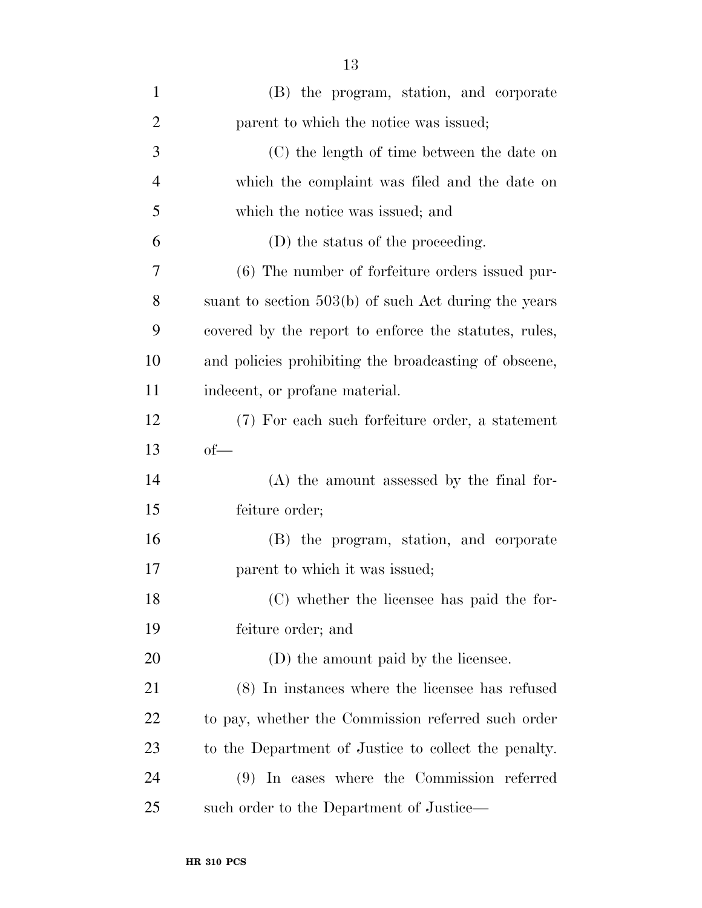| $\mathbf{1}$   | (B) the program, station, and corporate               |
|----------------|-------------------------------------------------------|
| $\overline{2}$ | parent to which the notice was issued;                |
| 3              | (C) the length of time between the date on            |
| $\overline{4}$ | which the complaint was filed and the date on         |
| 5              | which the notice was issued; and                      |
| 6              | (D) the status of the proceeding.                     |
| 7              | (6) The number of forfeiture orders issued pur-       |
| 8              | suant to section 503(b) of such Act during the years  |
| 9              | covered by the report to enforce the statutes, rules, |
| 10             | and policies prohibiting the broadcasting of obscene, |
| 11             | indecent, or profane material.                        |
| 12             | (7) For each such forfeiture order, a statement       |
| 13             | $of$ —                                                |
| 14             | $(A)$ the amount assessed by the final for-           |
| 15             | feiture order;                                        |
| 16             | (B) the program, station, and corporate               |
| 17             | parent to which it was issued;                        |
| 18             | (C) whether the licensee has paid the for-            |
| 19             | feiture order; and                                    |
| <b>20</b>      | (D) the amount paid by the licensee.                  |
| 21             | (8) In instances where the licensee has refused       |
| <u>22</u>      | to pay, whether the Commission referred such order    |
| 23             | to the Department of Justice to collect the penalty.  |
| 24             | (9) In cases where the Commission referred            |
| 25             | such order to the Department of Justice—              |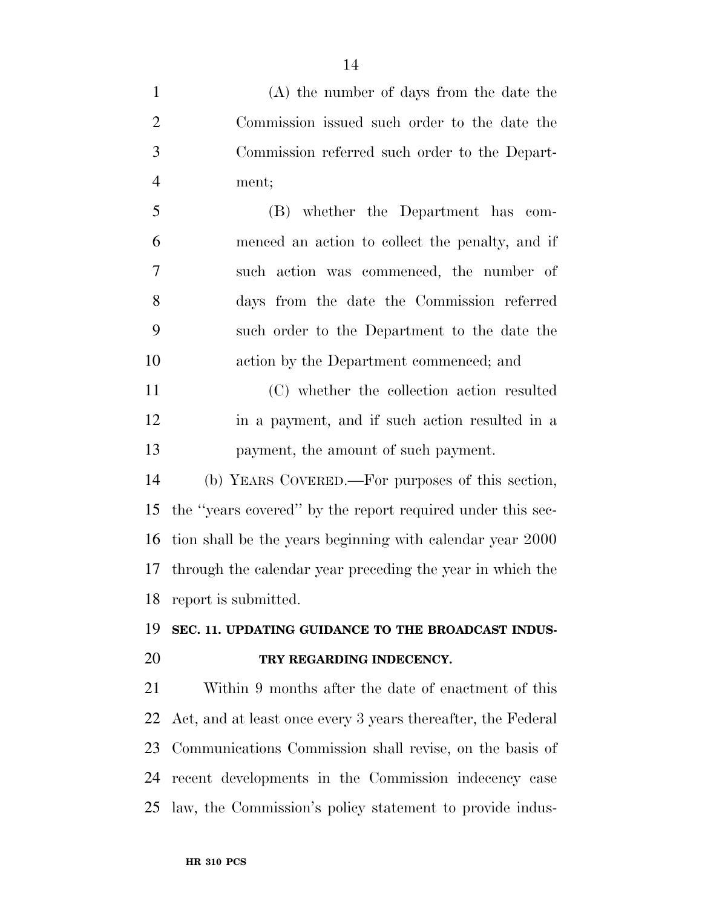(A) the number of days from the date the Commission issued such order to the date the Commission referred such order to the Depart- ment; (B) whether the Department has com- menced an action to collect the penalty, and if such action was commenced, the number of days from the date the Commission referred such order to the Department to the date the action by the Department commenced; and (C) whether the collection action resulted in a payment, and if such action resulted in a payment, the amount of such payment. (b) YEARS COVERED.—For purposes of this section, the ''years covered'' by the report required under this sec- tion shall be the years beginning with calendar year 2000 through the calendar year preceding the year in which the report is submitted. **SEC. 11. UPDATING GUIDANCE TO THE BROADCAST INDUS- TRY REGARDING INDECENCY.**  Within 9 months after the date of enactment of this Act, and at least once every 3 years thereafter, the Federal Communications Commission shall revise, on the basis of recent developments in the Commission indecency case

law, the Commission's policy statement to provide indus-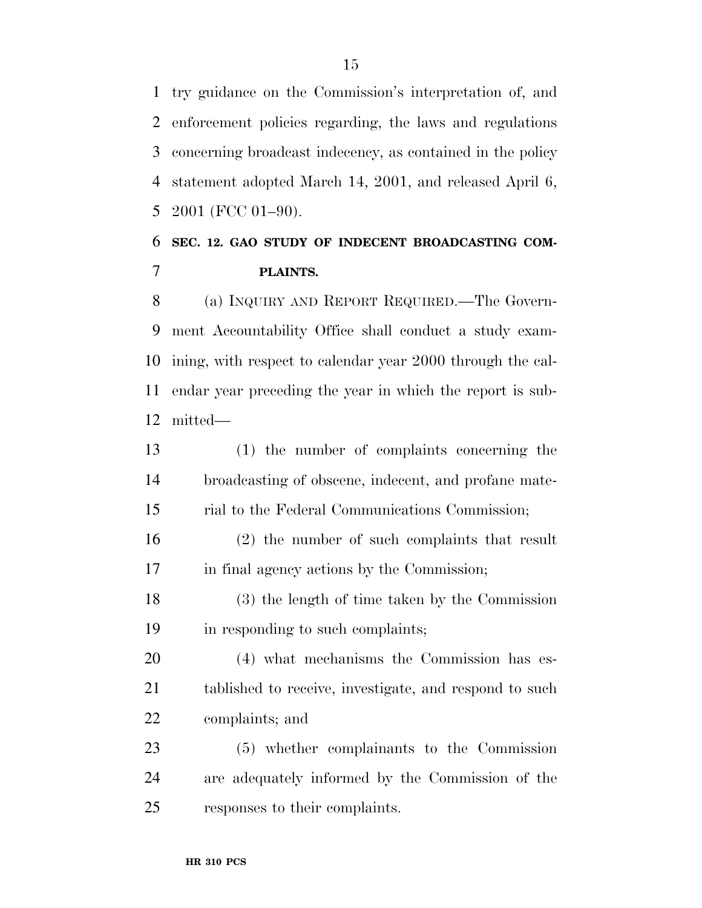try guidance on the Commission's interpretation of, and enforcement policies regarding, the laws and regulations concerning broadcast indecency, as contained in the policy statement adopted March 14, 2001, and released April 6, 2001 (FCC 01–90).

#### **SEC. 12. GAO STUDY OF INDECENT BROADCASTING COM-PLAINTS.**

 (a) INQUIRY AND REPORT REQUIRED.—The Govern- ment Accountability Office shall conduct a study exam- ining, with respect to calendar year 2000 through the cal- endar year preceding the year in which the report is sub-mitted—

 (1) the number of complaints concerning the broadcasting of obscene, indecent, and profane mate-rial to the Federal Communications Commission;

 (2) the number of such complaints that result in final agency actions by the Commission;

 (3) the length of time taken by the Commission in responding to such complaints;

 (4) what mechanisms the Commission has es- tablished to receive, investigate, and respond to such complaints; and

 (5) whether complainants to the Commission are adequately informed by the Commission of the responses to their complaints.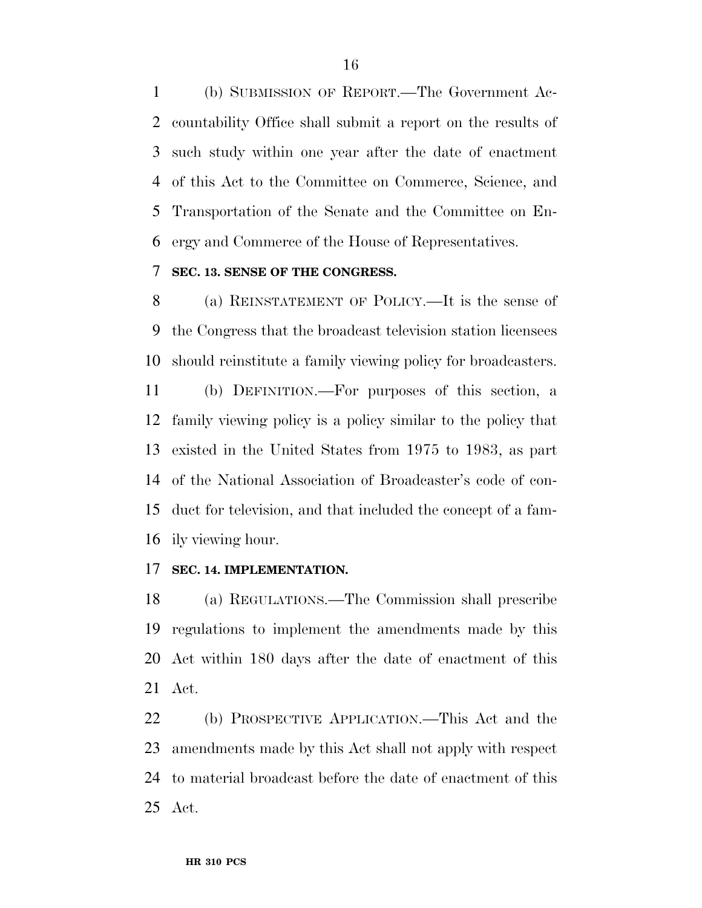(b) SUBMISSION OF REPORT.—The Government Ac- countability Office shall submit a report on the results of such study within one year after the date of enactment of this Act to the Committee on Commerce, Science, and Transportation of the Senate and the Committee on En-ergy and Commerce of the House of Representatives.

#### **SEC. 13. SENSE OF THE CONGRESS.**

 (a) REINSTATEMENT OF POLICY.—It is the sense of the Congress that the broadcast television station licensees should reinstitute a family viewing policy for broadcasters.

 (b) DEFINITION.—For purposes of this section, a family viewing policy is a policy similar to the policy that existed in the United States from 1975 to 1983, as part of the National Association of Broadcaster's code of con- duct for television, and that included the concept of a fam-ily viewing hour.

#### **SEC. 14. IMPLEMENTATION.**

 (a) REGULATIONS.—The Commission shall prescribe regulations to implement the amendments made by this Act within 180 days after the date of enactment of this Act.

 (b) PROSPECTIVE APPLICATION.—This Act and the amendments made by this Act shall not apply with respect to material broadcast before the date of enactment of this Act.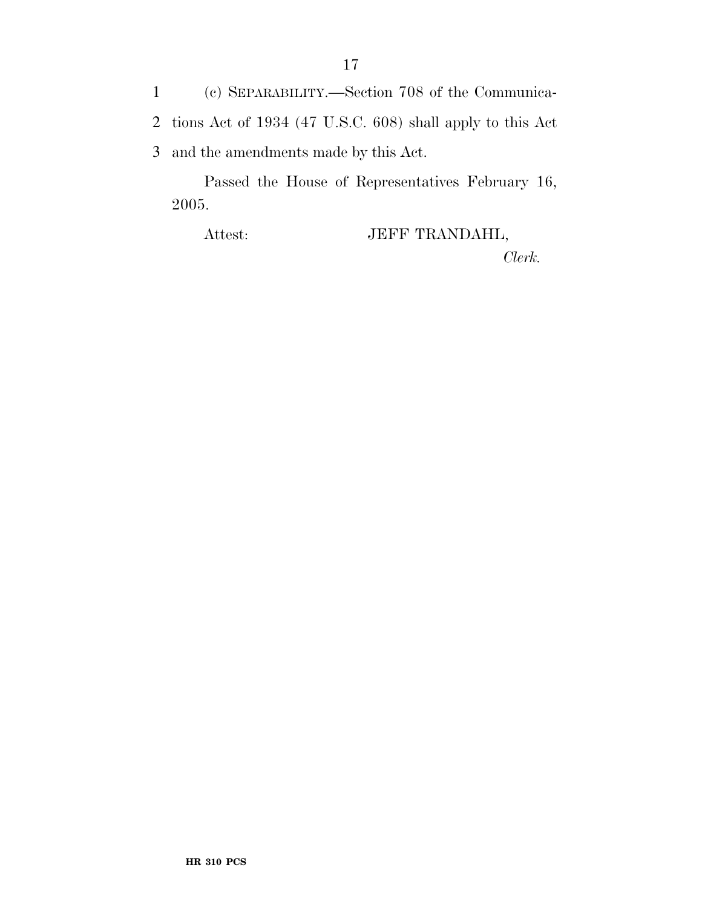1 (c) SEPARABILITY.—Section 708 of the Communica-2 tions Act of 1934 (47 U.S.C. 608) shall apply to this Act 3 and the amendments made by this Act.

Passed the House of Representatives February 16, 2005.

Attest: JEFF TRANDAHL, *Clerk.*